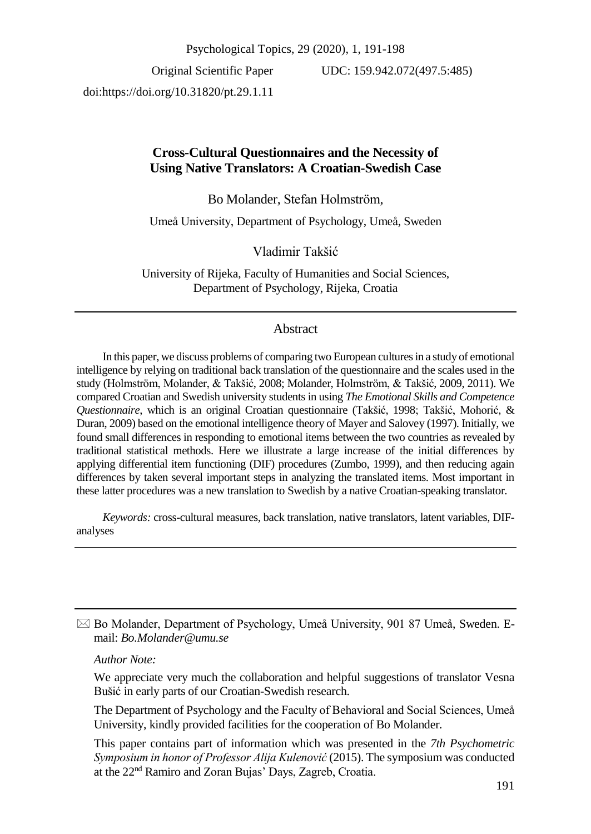Psychological Topics, 29 (2020), 1, 191-198

Original Scientific Paper doi:https://doi.org/10.31820/pt.29.1.11 UDC: 159.942.072(497.5:485)

## **Cross-Cultural Questionnaires and the Necessity of Using Native Translators: A Croatian-Swedish Case**

Bo Molander, Stefan Holmström,

Umeå University, Department of Psychology, Umeå, Sweden

Vladimir Takšić

University of Rijeka, Faculty of Humanities and Social Sciences, Department of Psychology, Rijeka, Croatia

# Abstract

In this paper, we discuss problems of comparing two European cultures in a study of emotional intelligence by relying on traditional back translation of the questionnaire and the scales used in the study (Holmström, Molander, & Takšić, 2008; Molander, Holmström, & Takšić, 2009, 2011). We compared Croatian and Swedish university students in using *The Emotional Skills and Competence Questionnaire*, which is an original Croatian questionnaire (Takšić, 1998; Takšić, Mohorić, & Duran, 2009) based on the emotional intelligence theory of Mayer and Salovey (1997). Initially, we found small differences in responding to emotional items between the two countries as revealed by traditional statistical methods. Here we illustrate a large increase of the initial differences by applying differential item functioning (DIF) procedures (Zumbo, 1999), and then reducing again differences by taken several important steps in analyzing the translated items. Most important in these latter procedures was a new translation to Swedish by a native Croatian-speaking translator.

*Keywords:* cross-cultural measures, back translation, native translators, latent variables, DIFanalyses

 $\boxtimes$  Bo Molander, Department of Psychology, Umeå University, 901 87 Umeå, Sweden. Email: *Bo.Molander@umu.se*

*Author Note:*

We appreciate very much the collaboration and helpful suggestions of translator Vesna Bušić in early parts of our Croatian-Swedish research.

The Department of Psychology and the Faculty of Behavioral and Social Sciences, Umeå University, kindly provided facilities for the cooperation of Bo Molander.

This paper contains part of information which was presented in the *7th Psychometric Symposium in honor of Professor Alija Kulenović* (2015). The symposium was conducted at the 22nd Ramiro and Zoran Bujas' Days, Zagreb, Croatia.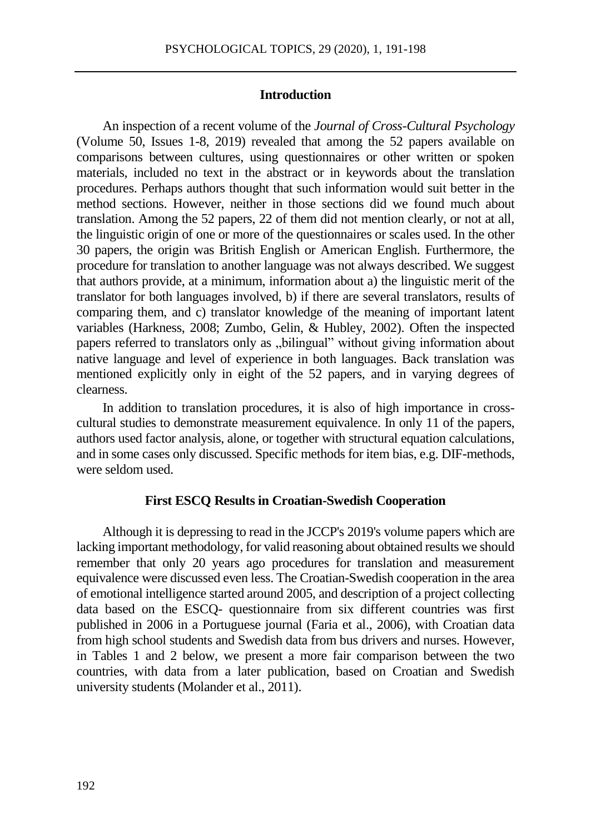### **Introduction**

An inspection of a recent volume of the *Journal of Cross-Cultural Psychology* (Volume 50, Issues 1-8, 2019) revealed that among the 52 papers available on comparisons between cultures, using questionnaires or other written or spoken materials, included no text in the abstract or in keywords about the translation procedures. Perhaps authors thought that such information would suit better in the method sections. However, neither in those sections did we found much about translation. Among the 52 papers, 22 of them did not mention clearly, or not at all, the linguistic origin of one or more of the questionnaires or scales used. In the other 30 papers, the origin was British English or American English. Furthermore, the procedure for translation to another language was not always described. We suggest that authors provide, at a minimum, information about a) the linguistic merit of the translator for both languages involved, b) if there are several translators, results of comparing them, and c) translator knowledge of the meaning of important latent variables (Harkness, 2008; Zumbo, Gelin, & Hubley, 2002). Often the inspected papers referred to translators only as "bilingual" without giving information about native language and level of experience in both languages. Back translation was mentioned explicitly only in eight of the 52 papers, and in varying degrees of clearness.

In addition to translation procedures, it is also of high importance in crosscultural studies to demonstrate measurement equivalence. In only 11 of the papers, authors used factor analysis, alone, or together with structural equation calculations, and in some cases only discussed. Specific methods for item bias, e.g. DIF-methods, were seldom used.

#### **First ESCQ Results in Croatian-Swedish Cooperation**

Although it is depressing to read in the JCCP's 2019's volume papers which are lacking important methodology, for valid reasoning about obtained results we should remember that only 20 years ago procedures for translation and measurement equivalence were discussed even less. The Croatian-Swedish cooperation in the area of emotional intelligence started around 2005, and description of a project collecting data based on the ESCQ- questionnaire from six different countries was first published in 2006 in a Portuguese journal (Faria et al., 2006), with Croatian data from high school students and Swedish data from bus drivers and nurses. However, in Tables 1 and 2 below, we present a more fair comparison between the two countries, with data from a later publication, based on Croatian and Swedish university students (Molander et al., 2011).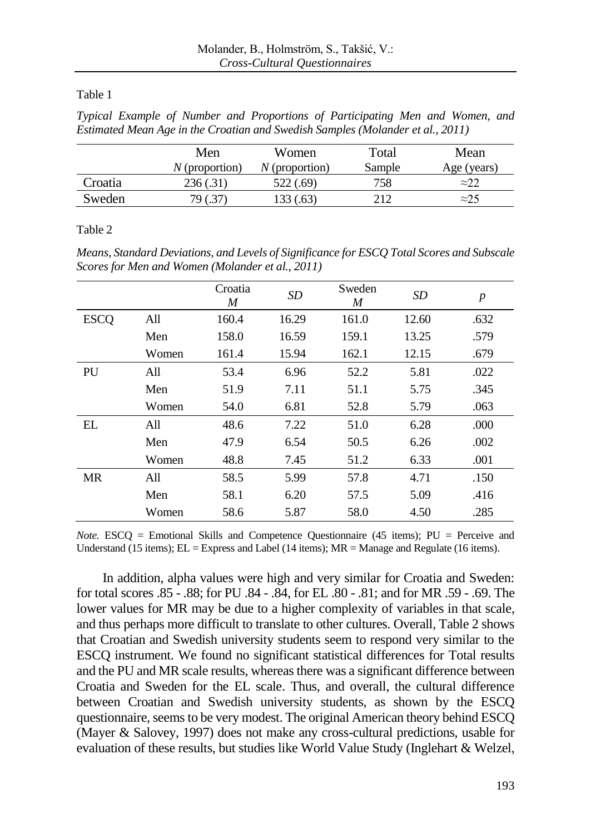## Table 1

|  |  |  | Typical Example of Number and Proportions of Participating Men and Women, and  |  |  |
|--|--|--|--------------------------------------------------------------------------------|--|--|
|  |  |  | Estimated Mean Age in the Croatian and Swedish Samples (Molander et al., 2011) |  |  |

|         | Men              | Women            | Total  | Mean          |
|---------|------------------|------------------|--------|---------------|
|         | $N$ (proportion) | $N$ (proportion) | Sample | Age (years)   |
| Croatia | 236(.31)         | 522 (.69)        | 758    | $\approx 2.2$ |
| Sweden  | 79 (.37)         | 133 (.63)        | 212    | $\approx 25$  |

### Table 2

*Means, Standard Deviations, and Levels of Significance for ESCQ Total Scores and Subscale Scores for Men and Women (Molander et al., 2011)*

|             |       | Croatia<br>$\boldsymbol{M}$ | SD <sub>1</sub> | Sweden<br>M | <b>SD</b> | $\boldsymbol{p}$ |
|-------------|-------|-----------------------------|-----------------|-------------|-----------|------------------|
| <b>ESCQ</b> | All   | 160.4                       | 16.29           | 161.0       | 12.60     | .632             |
|             | Men   | 158.0                       | 16.59           | 159.1       | 13.25     | .579             |
|             | Women | 161.4                       | 15.94           | 162.1       | 12.15     | .679             |
| PU          | A11   | 53.4                        | 6.96            | 52.2        | 5.81      | .022             |
|             | Men   | 51.9                        | 7.11            | 51.1        | 5.75      | .345             |
|             | Women | 54.0                        | 6.81            | 52.8        | 5.79      | .063             |
| EL          | All   | 48.6                        | 7.22            | 51.0        | 6.28      | .000             |
|             | Men   | 47.9                        | 6.54            | 50.5        | 6.26      | .002             |
|             | Women | 48.8                        | 7.45            | 51.2        | 6.33      | .001             |
| <b>MR</b>   | All   | 58.5                        | 5.99            | 57.8        | 4.71      | .150             |
|             | Men   | 58.1                        | 6.20            | 57.5        | 5.09      | .416             |
|             | Women | 58.6                        | 5.87            | 58.0        | 4.50      | .285             |

*Note.* ESCQ = Emotional Skills and Competence Questionnaire (45 items); PU = Perceive and Understand (15 items); EL = Express and Label (14 items); MR = Manage and Regulate (16 items).

In addition, alpha values were high and very similar for Croatia and Sweden: for total scores .85 - .88; for PU .84 - .84, for EL .80 - .81; and for MR .59 - .69. The lower values for MR may be due to a higher complexity of variables in that scale, and thus perhaps more difficult to translate to other cultures. Overall, Table 2 shows that Croatian and Swedish university students seem to respond very similar to the ESCQ instrument. We found no significant statistical differences for Total results and the PU and MR scale results, whereas there was a significant difference between Croatia and Sweden for the EL scale. Thus, and overall, the cultural difference between Croatian and Swedish university students, as shown by the ESCQ questionnaire, seems to be very modest. The original American theory behind ESCQ (Mayer & Salovey, 1997) does not make any cross-cultural predictions, usable for evaluation of these results, but studies like World Value Study (Inglehart & Welzel,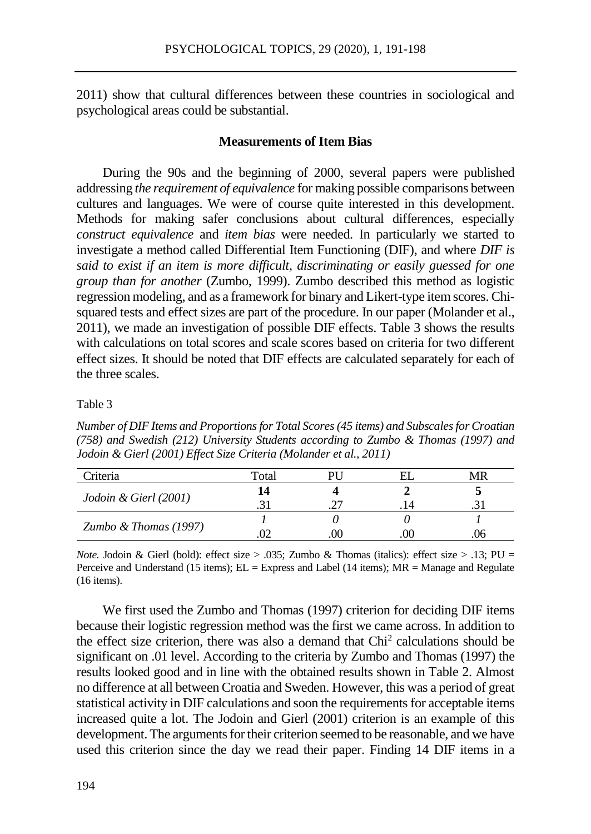2011) show that cultural differences between these countries in sociological and psychological areas could be substantial.

#### **Measurements of Item Bias**

During the 90s and the beginning of 2000, several papers were published addressing *the requirement of equivalence* for making possible comparisons between cultures and languages. We were of course quite interested in this development. Methods for making safer conclusions about cultural differences, especially *construct equivalence* and *item bias* were needed. In particularly we started to investigate a method called Differential Item Functioning (DIF), and where *DIF is said to exist if an item is more difficult, discriminating or easily guessed for one group than for another* (Zumbo, 1999). Zumbo described this method as logistic regression modeling, and as a framework for binary and Likert-type item scores. Chisquared tests and effect sizes are part of the procedure. In our paper (Molander et al., 2011), we made an investigation of possible DIF effects. Table 3 shows the results with calculations on total scores and scale scores based on criteria for two different effect sizes. It should be noted that DIF effects are calculated separately for each of the three scales.

#### Table 3

*Number of DIF Items and Proportions for Total Scores (45 items) and Subscales for Croatian (758) and Swedish (212) University Students according to Zumbo & Thomas (1997) and Jodoin & Gierl (2001) Effect Size Criteria (Molander et al., 2011)*

| Criteria                | Total |    |      | MR |
|-------------------------|-------|----|------|----|
|                         | 14    |    |      |    |
| Jodoin & Gierl (2001)   |       | רר | . 14 |    |
|                         |       |    |      |    |
| Zumbo & Thomas $(1997)$ |       |    |      |    |

*Note.* Jodoin & Gierl (bold): effect size  $> .035$ ; Zumbo & Thomas (italics): effect size  $> .13$ ; PU = Perceive and Understand (15 items);  $EL =$  Express and Label (14 items);  $MR =$  Manage and Regulate (16 items).

We first used the Zumbo and Thomas (1997) criterion for deciding DIF items because their logistic regression method was the first we came across. In addition to the effect size criterion, there was also a demand that Chi<sup>2</sup> calculations should be significant on .01 level. According to the criteria by Zumbo and Thomas (1997) the results looked good and in line with the obtained results shown in Table 2. Almost no difference at all between Croatia and Sweden. However, this was a period of great statistical activity in DIF calculations and soon the requirements for acceptable items increased quite a lot. The Jodoin and Gierl (2001) criterion is an example of this development. The arguments for their criterion seemed to be reasonable, and we have used this criterion since the day we read their paper. Finding 14 DIF items in a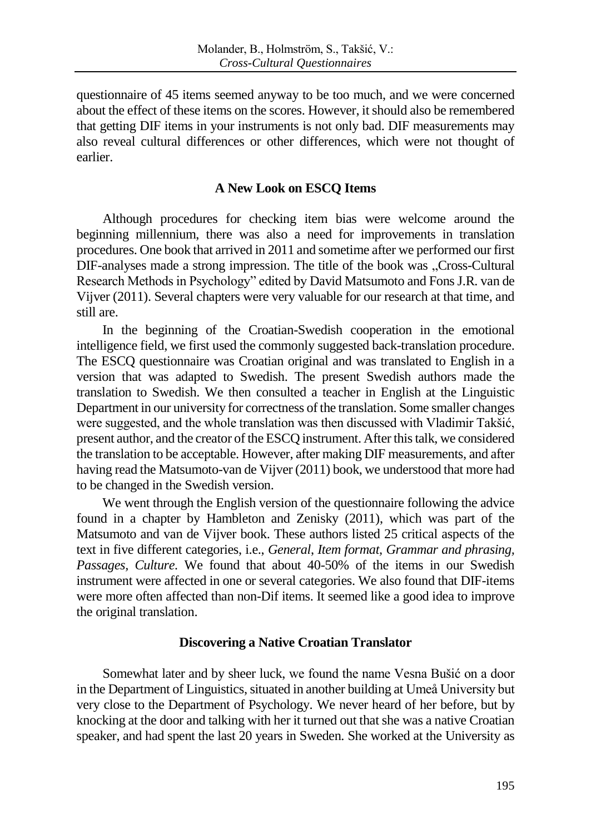questionnaire of 45 items seemed anyway to be too much, and we were concerned about the effect of these items on the scores. However, it should also be remembered that getting DIF items in your instruments is not only bad. DIF measurements may also reveal cultural differences or other differences, which were not thought of earlier.

## **A New Look on ESCQ Items**

Although procedures for checking item bias were welcome around the beginning millennium, there was also a need for improvements in translation procedures. One book that arrived in 2011 and sometime after we performed our first DIF-analyses made a strong impression. The title of the book was "Cross-Cultural Research Methods in Psychology" edited by David Matsumoto and Fons J.R. van de Vijver (2011). Several chapters were very valuable for our research at that time, and still are.

In the beginning of the Croatian-Swedish cooperation in the emotional intelligence field, we first used the commonly suggested back-translation procedure. The ESCQ questionnaire was Croatian original and was translated to English in a version that was adapted to Swedish. The present Swedish authors made the translation to Swedish. We then consulted a teacher in English at the Linguistic Department in our university for correctness of the translation. Some smaller changes were suggested, and the whole translation was then discussed with Vladimir Takšić, present author, and the creator of the ESCQ instrument. After this talk, we considered the translation to be acceptable. However, after making DIF measurements, and after having read the Matsumoto-van de Vijver (2011) book, we understood that more had to be changed in the Swedish version.

We went through the English version of the questionnaire following the advice found in a chapter by Hambleton and Zenisky (2011), which was part of the Matsumoto and van de Vijver book. These authors listed 25 critical aspects of the text in five different categories, i.e., *General*, *Item format, Grammar and phrasing, Passages, Culture.* We found that about 40-50% of the items in our Swedish instrument were affected in one or several categories. We also found that DIF-items were more often affected than non-Dif items. It seemed like a good idea to improve the original translation.

## **Discovering a Native Croatian Translator**

Somewhat later and by sheer luck, we found the name Vesna Bušić on a door in the Department of Linguistics, situated in another building at Umeå University but very close to the Department of Psychology. We never heard of her before, but by knocking at the door and talking with her it turned out that she was a native Croatian speaker, and had spent the last 20 years in Sweden. She worked at the University as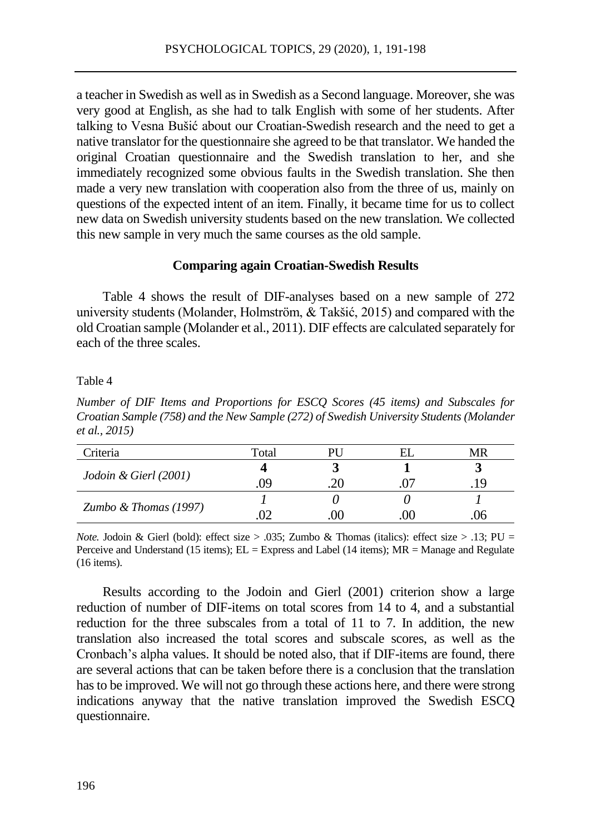a teacher in Swedish as well as in Swedish as a Second language. Moreover, she was very good at English, as she had to talk English with some of her students. After talking to Vesna Bušić about our Croatian-Swedish research and the need to get a native translator for the questionnaire she agreed to be that translator. We handed the original Croatian questionnaire and the Swedish translation to her, and she immediately recognized some obvious faults in the Swedish translation. She then made a very new translation with cooperation also from the three of us, mainly on questions of the expected intent of an item. Finally, it became time for us to collect new data on Swedish university students based on the new translation. We collected this new sample in very much the same courses as the old sample.

### **Comparing again Croatian-Swedish Results**

Table 4 shows the result of DIF-analyses based on a new sample of 272 university students (Molander, Holmström, & Takšić, 2015) and compared with the old Croatian sample (Molander et al., 2011). DIF effects are calculated separately for each of the three scales.

#### Table 4

*Number of DIF Items and Proportions for ESCQ Scores (45 items) and Subscales for Croatian Sample (758) and the New Sample (272) of Swedish University Students (Molander et al., 2015)*

| Criteria                | Total | PH | MR   |
|-------------------------|-------|----|------|
|                         |       |    |      |
| Jodoin & Gierl (2001)   | , 99  |    | .19. |
|                         |       |    |      |
| Zumbo & Thomas $(1997)$ |       |    | Jr   |

*Note.* Jodoin & Gierl (bold): effect size  $> .035$ ; Zumbo & Thomas (italics): effect size  $> .13$ ; PU = Perceive and Understand (15 items); EL = Express and Label (14 items); MR = Manage and Regulate (16 items).

Results according to the Jodoin and Gierl (2001) criterion show a large reduction of number of DIF-items on total scores from 14 to 4, and a substantial reduction for the three subscales from a total of 11 to 7. In addition, the new translation also increased the total scores and subscale scores, as well as the Cronbach's alpha values. It should be noted also, that if DIF-items are found, there are several actions that can be taken before there is a conclusion that the translation has to be improved. We will not go through these actions here, and there were strong indications anyway that the native translation improved the Swedish ESCQ questionnaire.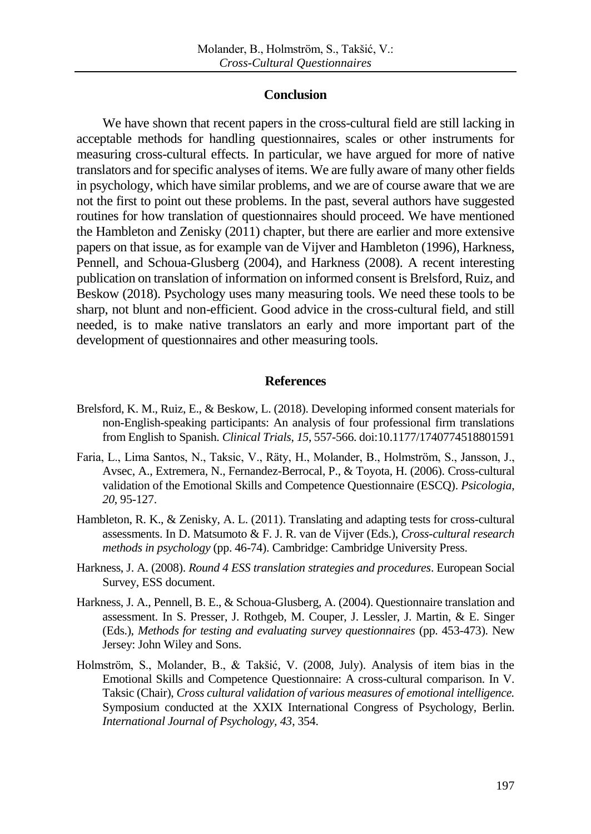### **Conclusion**

We have shown that recent papers in the cross-cultural field are still lacking in acceptable methods for handling questionnaires, scales or other instruments for measuring cross-cultural effects. In particular, we have argued for more of native translators and for specific analyses of items. We are fully aware of many other fields in psychology, which have similar problems, and we are of course aware that we are not the first to point out these problems. In the past, several authors have suggested routines for how translation of questionnaires should proceed. We have mentioned the Hambleton and Zenisky (2011) chapter, but there are earlier and more extensive papers on that issue, as for example van de Vijver and Hambleton (1996), Harkness, Pennell, and Schoua-Glusberg (2004), and Harkness (2008). A recent interesting publication on translation of information on informed consent is Brelsford, Ruiz, and Beskow (2018). Psychology uses many measuring tools. We need these tools to be sharp, not blunt and non-efficient. Good advice in the cross-cultural field, and still needed, is to make native translators an early and more important part of the development of questionnaires and other measuring tools.

#### **References**

- Brelsford, K. M., Ruiz, E., & Beskow, L. (2018). Developing informed consent materials for non-English-speaking participants: An analysis of four professional firm translations from English to Spanish. *Clinical Trials*, *15*, 557-566. doi:10.1177/1740774518801591
- Faria, L., Lima Santos, N., Taksic, V., Räty, H., Molander, B., Holmström, S., Jansson, J., Avsec, A., Extremera, N., Fernandez-Berrocal, P., & Toyota, H. (2006). Cross-cultural validation of the Emotional Skills and Competence Questionnaire (ESCQ). *Psicologia*, *20*, 95-127.
- Hambleton, R. K., & Zenisky, A. L. (2011). Translating and adapting tests for cross-cultural assessments. In D. Matsumoto & F. J. R. van de Vijver (Eds.), *Cross-cultural research methods in psychology* (pp. 46-74). Cambridge: Cambridge University Press.
- Harkness, J. A. (2008). *Round 4 ESS translation strategies and procedures*. European Social Survey, ESS document.
- Harkness, J. A., Pennell, B. E., & Schoua-Glusberg, A. (2004). Questionnaire translation and assessment. In S. Presser, J. Rothgeb, M. Couper, J. Lessler, J. Martin, & E. Singer (Eds.), *Methods for testing and evaluating survey questionnaires* (pp. 453-473). New Jersey: John Wiley and Sons.
- Holmström, S., Molander, B., & Takšić, V. (2008, July). Analysis of item bias in the Emotional Skills and Competence Questionnaire: A cross-cultural comparison. In V. Taksic (Chair), *Cross cultural validation of various measures of emotional intelligence.* Symposium conducted at the XXIX International Congress of Psychology, Berlin. *International Journal of Psychology, 43*, 354.